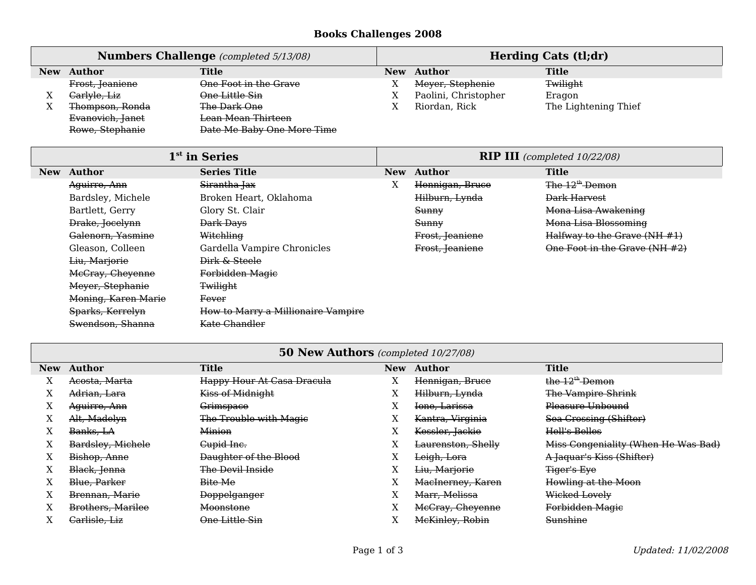## **Books Challenges 2008**

| <b>Numbers Challenge</b> (completed 5/13/08) |                  |                               | <b>Herding Cats (tl;dr)</b> |                      |                      |
|----------------------------------------------|------------------|-------------------------------|-----------------------------|----------------------|----------------------|
|                                              | New Author       | Title                         |                             | <b>New Author</b>    | <b>Title</b>         |
|                                              | Frost, Jeaniene  | One Foot in the Grave         |                             | Meyer, Stephenie     | <b>Twilight</b>      |
| л                                            | Carlyle, Liz     | One Little Sin                |                             | Paolini, Christopher | Eragon               |
| △                                            | Thompson, Ronda  | The Dark One                  |                             | Riordan, Rick        | The Lightening Thief |
|                                              | Evanovich, Janet | <del>Lean Mean Thirteen</del> |                             |                      |                      |
|                                              | Rowe, Stephanie  | Date Me Baby One More Time    |                             |                      |                      |

| 1 <sup>st</sup> in Series |                          |                                    | <b>RIP III</b> (completed $10/22/08$ ) |                 |                               |
|---------------------------|--------------------------|------------------------------------|----------------------------------------|-----------------|-------------------------------|
|                           | <b>New Author</b>        | <b>Series Title</b>                |                                        | New Author      | <b>Title</b>                  |
|                           | Aguirre, Ann             | Sirantha Jax                       | X                                      | Hennigan, Bruce | The 12 <sup>th</sup> Demon    |
|                           | Bardsley, Michele        | Broken Heart, Oklahoma             |                                        | Hilburn, Lynda  | <b>Dark Harvest</b>           |
|                           | Bartlett, Gerry          | Glory St. Clair                    |                                        | Sunny           | Mona Lisa Awakening           |
|                           | Drake, Jocelynn          | <b>Dark Days</b>                   |                                        | Sunny           | Mona Lisa Blossoming          |
|                           | Galenorn, Yasmine        | Witchling                          |                                        | Frost, Jeaniene | Halfway to the Grave (NH #1)  |
|                           | Gleason, Colleen         | Gardella Vampire Chronicles        |                                        | Frost, Jeaniene | One Foot in the Grave (NH #2) |
|                           | <del>Liu, Marjorie</del> | Dirk & Steele                      |                                        |                 |                               |
|                           | McCray, Cheyenne         | Forbidden Magie                    |                                        |                 |                               |
|                           | Meyer, Stephanie         | <b>Twilight</b>                    |                                        |                 |                               |
|                           | Moning, Karen Marie      | <b>Fever</b>                       |                                        |                 |                               |
|                           | Sparks, Kerrelyn         | How to Marry a Millionaire Vampire |                                        |                 |                               |
|                           | Swendson, Shanna         | Kate Chandler                      |                                        |                 |                               |

| 50 New Authors (completed 10/27/08) |                   |                            |            |                    |                                     |
|-------------------------------------|-------------------|----------------------------|------------|--------------------|-------------------------------------|
|                                     | New Author        | <b>Title</b>               | <b>New</b> | Author             | <b>Title</b>                        |
| л                                   | Acosta, Marta     | Happy Hour At Casa Dracula | л          | Hennigan, Bruce    | the 12 <sup>th</sup> Demon          |
|                                     | Adrian. Lara      | Kiss of Midnight           | л          | Hilburn, Lynda     | The Vampire Shrink                  |
| л                                   | Aquirre, Ann      | Grimspace                  | X          | Ione, Larissa      | Pleasure Unbound                    |
| л                                   | Alt, Madelyn      | The Trouble with Magie     | л          | Kantra, Virginia   | Sea Crossing (Shifter)              |
|                                     | Banks, LA         | <b>Minion</b>              |            | Kessler, Jackie    | Hell's Belles                       |
| л                                   | Bardsley, Michele | Cupid Inc.                 |            | Laurenston, Shelly | Miss Congeniality (When He Was Bad) |
| $\Lambda$                           | Bishop, Anne      | Daughter of the Blood      | A          | Leigh, Lora        | A Jaquar's Kiss (Shifter)           |
| л                                   | Black, Jenna      | The Devil Inside           | л          | Liu, Mariorie      | Tiger's Eye                         |
| л                                   | Blue, Parker      | Bite Me                    | л          | MacInerney, Karen  | Howling at the Moon                 |
| л                                   | Brennan, Marie    | <b>Doppelganger</b>        | л          | Marr, Melissa      | Wicked Lovely                       |
| A                                   | Brothers, Marilee | Moonstone                  | $\Lambda$  | McCray, Cheyenne   | Forbidden Magie                     |
|                                     | Carlisle, Liz     | One Little Sin             |            | McKinley, Robin    | Sunshine                            |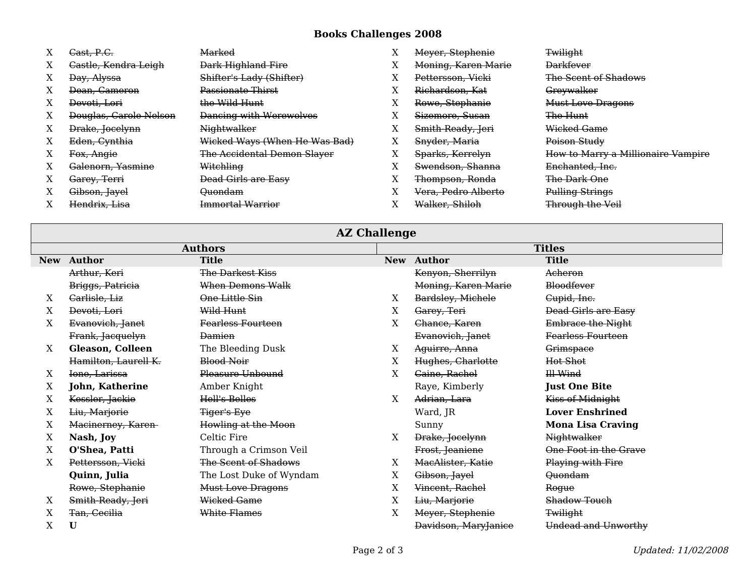## **Books Challenges 2008**

| X | Cast, P.C.             | Marked                         |   | Meyer, Stephenie    | <b>Twilight</b>                    |
|---|------------------------|--------------------------------|---|---------------------|------------------------------------|
| X | Castle, Kendra Leigh   | <b>Dark Highland Fire</b>      | л | Moning, Karen Marie | <b>Darkfever</b>                   |
| X | Day, Alyssa            | Shifter's Lady (Shifter)       | л | Pettersson, Vicki   | The Scent of Shadows               |
| X | Dean, Cameron          | Passionate Thirst              | л | Richardson, Kat     | Greywalker                         |
| X | Devoti, Lori           | the Wild Hunt                  | A | Rowe, Stephanie     | <b>Must Love Dragons</b>           |
| X | Douglas, Carole Nelson | <b>Dancing with Werewolves</b> | л | Sizemore, Susan     | The Hunt                           |
| X | Drake, Jocelynn        | Nightwalker                    | л | Smith-Ready, Jeri   | Wicked Game                        |
| X | Eden, Cynthia          | Wicked Ways (When He Was Bad)  | X | Snyder, Maria       | Poison Study                       |
| X | Fox, Angie             | The Accidental Demon Slayer    |   | Sparks, Kerrelyn    | How to Marry a Millionaire Vampire |
| X | Galenorn, Yasmine      | Witchling                      | л | Swendson, Shanna    | Enchanted, Inc.                    |
| X | Garey, Terri           | <b>Dead Girls are Easy</b>     | л | Thompson, Ronda     | The Dark One                       |
| X | Gibson, Jayel          | <b>Ouondam</b>                 | л | Vera, Pedro Alberto | <b>Pulling Strings</b>             |
| X | Hendrix, Lisa          | <b>Immortal Warrior</b>        | л | Walker, Shiloh      | Through the Veil                   |

## **AZ Challenge**

| <b>Authors</b> |                      |                          |             | <b>Titles</b>        |                            |  |
|----------------|----------------------|--------------------------|-------------|----------------------|----------------------------|--|
|                | New Author           | <b>Title</b>             |             | New Author           | <b>Title</b>               |  |
|                | Arthur, Keri         | <b>The Darkest Kiss</b>  |             | Kenyon, Sherrilyn    | Acheron                    |  |
|                | Briggs, Patricia     | When Demons Walk         |             | Moning, Karen Marie  | <b>Bloodfever</b>          |  |
| Χ              | Carlisle, Liz        | One Little Sin           | X           | Bardsley, Michele    | Cupid, Inc.                |  |
| X              | Devoti, Lori         | Wild Hunt                | X           | Garey, Teri          | <b>Dead Girls are Easy</b> |  |
| X              | Evanovich, Janet     | <b>Fearless Fourteen</b> | X           | Chance, Karen        | <b>Embrace the Night</b>   |  |
|                | Frank, Jacquelyn     | <b>Damien</b>            |             | Evanovich, Janet     | Fearless Fourteen          |  |
| X              | Gleason, Colleen     | The Bleeding Dusk        | X           | Aguirre, Anna        | Grimspace                  |  |
|                | Hamilton, Laurell K. | <b>Blood Noir</b>        | X           | Hughes, Charlotte    | Hot Shot                   |  |
| X              | Ione, Larissa        | Pleasure Unbound         | X           | Caine, Rachel        | <b>Ill Wind</b>            |  |
| X              | John, Katherine      | Amber Knight             |             | Raye, Kimberly       | <b>Just One Bite</b>       |  |
| X              | Kessler, Jackie      | Hell's Belles            | X           | Adrian, Lara         | Kiss of Midnight           |  |
| X              | Liu, Marjorie        | <b>Tiger's Eye</b>       |             | Ward, JR             | <b>Lover Enshrined</b>     |  |
| X              | Macinerney, Karen-   | Howling at the Moon      |             | Sunny                | <b>Mona Lisa Craving</b>   |  |
| X              | Nash, Joy            | Celtic Fire              | X           | Drake, Jocelynn      | Nightwalker                |  |
| X              | O'Shea, Patti        | Through a Crimson Veil   |             | Frost, Jeaniene      | One Foot in the Grave      |  |
| X              | Pettersson, Vicki    | The Scent of Shadows     | X           | MacAlister, Katie    | Playing with Fire          |  |
|                | Quinn, Julia         | The Lost Duke of Wyndam  | X           | Gibson, Jayel        | Quondam                    |  |
|                | Rowe, Stephanie      | <b>Must Love Dragons</b> | X           | Vincent, Rachel      | Rogue                      |  |
| X              | Smith-Ready, Jeri    | Wicked Game              | $\mathbf X$ | Liu, Marjorie        | Shadow Touch               |  |
| X              | Tan, Cecilia         | White Flames             | X           | Meyer, Stephenie     | <b>Twilight</b>            |  |
| $\mathbf X$    | $\mathbf U$          |                          |             | Davidson, MaryJanice | Undead and Unworthy        |  |